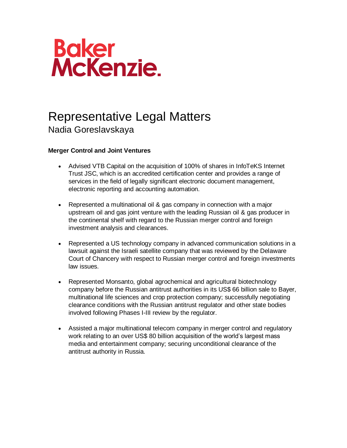

## Representative Legal Matters Nadia Goreslavskaya

## **Merger Control and Joint Ventures**

- Advised VTB Capital on the acquisition of 100% of shares in InfoTeKS Internet Trust JSC, which is an accredited certification center and provides a range of services in the field of legally significant electronic document management, electronic reporting and accounting automation.
- Represented a multinational oil & gas company in connection with a major upstream oil and gas joint venture with the leading Russian oil & gas producer in the continental shelf with regard to the Russian merger control and foreign investment analysis and clearances.
- Represented a US technology company in advanced communication solutions in a lawsuit against the Israeli satellite company that was reviewed by the Delaware Court of Chancery with respect to Russian merger control and foreign investments law issues.
- Represented Monsanto, global agrochemical and agricultural biotechnology company before the Russian antitrust authorities in its US\$ 66 billion sale to Bayer, multinational life sciences and crop protection company; successfully negotiating clearance conditions with the Russian antitrust regulator and other state bodies involved following Phases I-III review by the regulator.
- Assisted a major multinational telecom company in merger control and regulatory work relating to an over US\$ 80 billion acquisition of the world's largest mass media and entertainment company; securing unconditional clearance of the antitrust authority in Russia.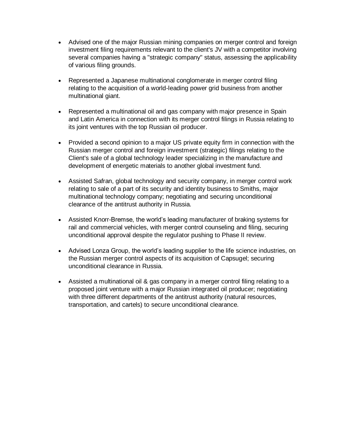- Advised one of the major Russian mining companies on merger control and foreign investment filing requirements relevant to the client's JV with a competitor involving several companies having a "strategic company" status, assessing the applicability of various filing grounds.
- Represented a Japanese multinational conglomerate in merger control filing relating to the acquisition of a world-leading power grid business from another multinational giant.
- Represented a multinational oil and gas company with major presence in Spain and Latin America in connection with its merger control filings in Russia relating to its joint ventures with the top Russian oil producer.
- Provided a second opinion to a major US private equity firm in connection with the Russian merger control and foreign investment (strategic) filings relating to the Client's sale of a global technology leader specializing in the manufacture and development of energetic materials to another global investment fund.
- Assisted Safran, global technology and security company, in merger control work relating to sale of a part of its security and identity business to Smiths, major multinational technology company; negotiating and securing unconditional clearance of the antitrust authority in Russia.
- Assisted Knorr-Bremse, the world's leading manufacturer of braking systems for rail and commercial vehicles, with merger control counseling and filing, securing unconditional approval despite the regulator pushing to Phase II review.
- Advised Lonza Group, the world's leading supplier to the life science industries, on the Russian merger control aspects of its acquisition of Capsugel; securing unconditional clearance in Russia.
- Assisted a multinational oil & gas company in a merger control filing relating to a proposed joint venture with a major Russian integrated oil producer; negotiating with three different departments of the antitrust authority (natural resources, transportation, and cartels) to secure unconditional clearance.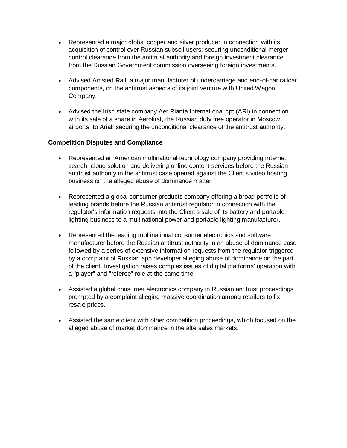- Represented a major global copper and silver producer in connection with its acquisition of control over Russian subsoil users; securing unconditional merger control clearance from the antitrust authority and foreign investment clearance from the Russian Government commission overseeing foreign investments.
- Advised Amsted Rail, a major manufacturer of undercarriage and end-of-car railcar components, on the antitrust aspects of its joint venture with United Wagon Company.
- Advised the Irish state company Aer Rianta International cpt (ARI) in connection with its sale of a share in Aerofirst, the Russian duty free operator in Moscow airports, to Arial; securing the unconditional clearance of the antitrust authority.

## **Competition Disputes and Compliance**

- Represented an American multinational technology company providing internet search, cloud solution and delivering online content services before the Russian antitrust authority in the antitrust case opened against the Client's video hosting business on the alleged abuse of dominance matter.
- Represented a global consumer products company offering a broad portfolio of leading brands before the Russian antitrust regulator in connection with the regulator's information requests into the Client's sale of its battery and portable lighting business to a multinational power and portable lighting manufacturer.
- Represented the leading multinational consumer electronics and software manufacturer before the Russian antitrust authority in an abuse of dominance case followed by a series of extensive information requests from the regulator triggered by a complaint of Russian app developer alleging abuse of dominance on the part of the client. Investigation raises complex issues of digital platforms' operation with a "player" and "referee" role at the same time.
- Assisted a global consumer electronics company in Russian antitrust proceedings prompted by a complaint alleging massive coordination among retailers to fix resale prices.
- Assisted the same client with other competition proceedings, which focused on the alleged abuse of market dominance in the aftersales markets.